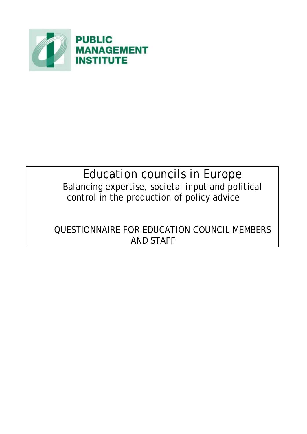

# Education councils in Europe Balancing expertise, societal input and political control in the production of policy advice

# QUESTIONNAIRE FOR EDUCATION COUNCIL MEMBERS AND STAFF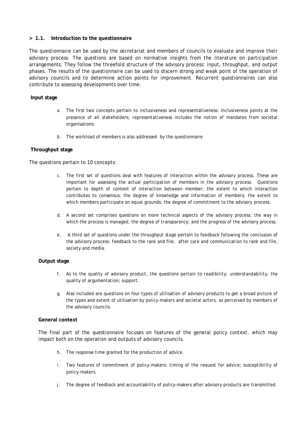#### **> 1.1. Introduction to the questionnaire**

The questionnaire can be used by the secretariat and members of councils to evaluate and improve their advisory process. The questions are based on normative insights from the literature on participation arrangements. They follow the threefold structure of the advisory process: input, throughput, and output phases. The results of the questionnaire can be used to discern strong and weak point of the operation of advisory councils and to determine action points for improvement. Recurrent questionnaires can also contribute to assessing developments over time.

#### **Input stage**

- a. The first two concepts pertain to *inclusiveness* and representativeness. Inclusiveness points at the presence of all stakeholders; *representativeness* includes the notion of mandates from societal organisations.
- b. The *workload* of members is also addressed by the questionnaire

#### **Throughput stage**

The questions pertain to 10 concepts:

- c. The first set of questions deal with features of interaction within the advisory process. These are important for assessing the actual participation of members in the advisory process. Questions pertain to *depth of content* of interaction between member; the extent to which interaction contributes to *consensus*; the degree of *knowledge and information* of members; the extent to which members *participate on equal grounds*; the degree of *commitment* to the advisory process.
- d. A second set comprises questions on more technical aspects of the advisory process: the way in which the process is *managed*; the degree of *transparency*; and the *progress* of the advisory process.
- e. A third set of questions under the throughput stage pertain to feedback following the conclusion of the advisory process: *feedback* to the rank and file; *after care and communication* to rank and file, society and media.

#### **Output stage**

- f. As to the quality of advisory product, the questions pertain to *readibility*; *understandability*; the quality of *argumentation*; *support*.
- g. Also included are questions on four types of utilisation of advisory products to get a broad picture of the types and extent of utilisation by policy-makers and societal actors, as perceived by members of the advisory councils.

#### **General context**

The final part of the questionnaire focuses on features of the general policy context, which may impact both on the operation and outputs of advisory councils.

- h. The *response time* granted for the production of advice.
- i. Two features of commitment of policy-makers: *timing of the request* for advice; *susceptibility* of policy-makers.
- j. The degree of *feedback* and *accountability* of policy-makers after advisory products are transmitted.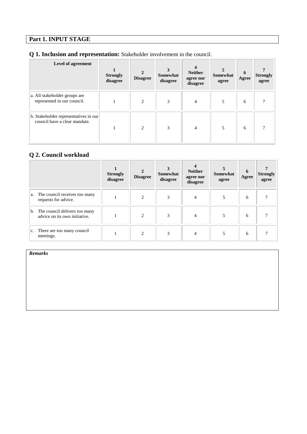## **Part 1. INPUT STAGE**

## **Q 1. Inclusion and representation:** Stakeholder involvement in the council.

| Level of agreement                                                     | <b>Strongly</b><br>disagree | $\overline{2}$<br><b>Disagree</b> | Somewhat<br>disagree | <b>Neither</b><br>agree nor<br>disagree | <b>Somewhat</b><br>agree | 6<br>Agree | <b>Strongly</b><br>agree |
|------------------------------------------------------------------------|-----------------------------|-----------------------------------|----------------------|-----------------------------------------|--------------------------|------------|--------------------------|
| a. All stakeholder groups are<br>represented in our council.           |                             | $\overline{2}$                    | 3                    | $\overline{4}$                          |                          | 6          |                          |
| b. Stakeholder representatives in our<br>council have a clear mandate. |                             | $\overline{2}$                    | 3                    | $\overline{4}$                          | 5                        | 6          |                          |

### **Q 2. Council workload**

|    |                                                                | <b>Strongly</b><br>disagree | <b>Disagree</b>        | Somewhat<br>disagree | <b>Neither</b><br>agree nor<br>disagree | <b>Somewhat</b><br>agree | 6<br>Agree | <b>Strongly</b><br>agree |
|----|----------------------------------------------------------------|-----------------------------|------------------------|----------------------|-----------------------------------------|--------------------------|------------|--------------------------|
| a. | The council receives too many<br>requests for advice.          |                             | C                      | 3                    | 4                                       | 5                        | 6          |                          |
| b. | The council delivers too many<br>advice on its own initiative. |                             | $\mathcal{D}_{\alpha}$ | 3                    |                                         |                          | 6          |                          |
|    | c. There are too many council<br>meetings.                     |                             | C                      | 3                    | 4                                       |                          | 6          |                          |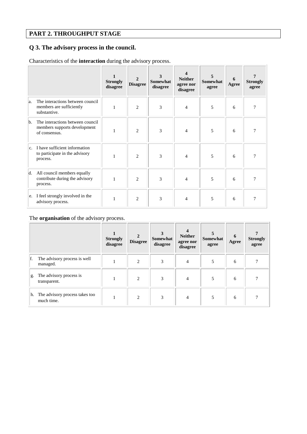## **PART 2. THROUGHPUT STAGE**

# **Q 3. The advisory process in the council.**

Characteristics of the **interaction** during the advisory process.

|                |                                                                                   | <b>Strongly</b><br>disagree | 2<br><b>Disagree</b> | 3<br>Somewhat<br>disagree | <b>Neither</b><br>agree nor<br>disagree | <b>Somewhat</b><br>agree | 6<br>Agree | <b>Strongly</b><br>agree |
|----------------|-----------------------------------------------------------------------------------|-----------------------------|----------------------|---------------------------|-----------------------------------------|--------------------------|------------|--------------------------|
| la.            | The interactions between council<br>members are sufficiently<br>substantive.      | 1                           | $\overline{c}$       | 3                         | 4                                       | 5                        | 6          |                          |
| b.             | The interactions between council<br>members supports development<br>of consensus. |                             | $\overline{2}$       | 3                         | 4                                       | 5                        | 6          |                          |
| C <sub>1</sub> | I have sufficient information<br>to participate in the advisory<br>process.       | 1                           | $\overline{c}$       | 3                         | 4                                       | 5                        | 6          |                          |
| d.             | All council members equally<br>contribute during the advisory<br>process.         |                             | $\overline{2}$       | 3                         | $\overline{4}$                          | 5                        | 6          | 7                        |
| e.             | I feel strongly involved in the<br>advisory process.                              |                             | $\overline{c}$       | 3                         | 4                                       | 5                        | 6          |                          |

### The **organisation** of the advisory process.

|    |                                              | <b>Strongly</b><br>disagree | $\mathbf{2}$<br><b>Disagree</b> | <b>Somewhat</b><br>disagree | <b>Neither</b><br>agree nor<br>disagree | Somewhat<br>agree | 6<br>Agree | <b>Strongly</b><br>agree |
|----|----------------------------------------------|-----------------------------|---------------------------------|-----------------------------|-----------------------------------------|-------------------|------------|--------------------------|
| f. | The advisory process is well<br>managed.     |                             | $\overline{c}$                  | 3                           | $\overline{4}$                          | 5                 | 6          |                          |
| g. | The advisory process is<br>transparent.      |                             | $\overline{2}$                  | 3                           | $\overline{4}$                          | 5                 | 6          |                          |
| h. | The advisory process takes too<br>much time. |                             | $\overline{c}$                  | 3                           | $\overline{4}$                          |                   | 6          |                          |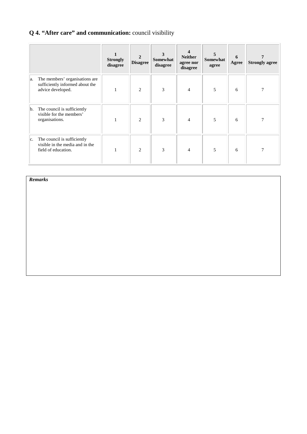# **Q 4. "After care" and communication:** council visibility

|               |                                                                                        | <b>Strongly</b><br>disagree | $\overline{2}$<br><b>Disagree</b> | 3<br><b>Somewhat</b><br>disagree | <b>Neither</b><br>agree nor<br>disagree | Somewhat<br>agree | 6<br>Agree | <b>Strongly agree</b> |
|---------------|----------------------------------------------------------------------------------------|-----------------------------|-----------------------------------|----------------------------------|-----------------------------------------|-------------------|------------|-----------------------|
| a.            | The members' organisations are<br>sufficiently informed about the<br>advice developed. |                             | 2                                 | 3                                | $\overline{4}$                          | 5                 | 6          |                       |
| b.            | The council is sufficiently<br>visible for the members'<br>organisations.              |                             | $\overline{2}$                    | 3                                | 4                                       | 5                 | 6          |                       |
| $ c_{\cdot} $ | The council is sufficiently<br>visible in the media and in the<br>field of education.  |                             | $\overline{c}$                    | 3                                | 4                                       | 5                 | 6          | 7                     |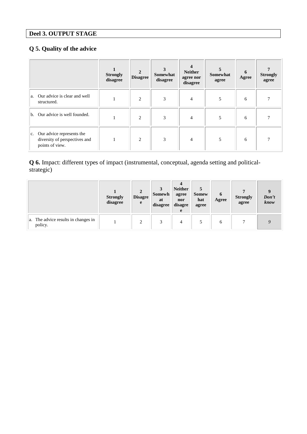# **Deel 3. OUTPUT STAGE**

## **Q 5. Quality of the advice**

|                                                                                                | <b>Strongly</b><br>disagree | $\overline{2}$<br><b>Disagree</b> | <b>Somewhat</b><br>disagree | <b>Neither</b><br>agree nor<br>disagree | 5<br>Somewhat<br>agree | 6<br>Agree | <b>Strongly</b><br>agree |
|------------------------------------------------------------------------------------------------|-----------------------------|-----------------------------------|-----------------------------|-----------------------------------------|------------------------|------------|--------------------------|
| a. Our advice is clear and well<br>structured.                                                 |                             | 2                                 | 3                           | 4                                       | 5                      | 6          |                          |
| b. Our advice is well founded.                                                                 |                             | $\overline{2}$                    | 3                           | $\overline{4}$                          | 5                      | 6          |                          |
| Our advice represents the<br>$ c_{\cdot} $<br>diversity of perspectives and<br>points of view. |                             | 2                                 | 3                           | 4                                       | 5                      | 6          |                          |

**Q 6.** Impact: different types of impact (instrumental, conceptual, agenda setting and politicalstrategic)

|                                                | <b>Strongly</b><br>disagree | $\overline{2}$<br><b>Disagre</b><br>e | Somewh<br>at<br>disagree | <b>Neither</b><br>agree<br>nor<br>disagre<br>e | <b>Somew</b><br>hat<br>agree | $\mathbf 6$<br>Agree | <b>Strongly</b><br>agree | Don't<br>know |
|------------------------------------------------|-----------------------------|---------------------------------------|--------------------------|------------------------------------------------|------------------------------|----------------------|--------------------------|---------------|
| a. The advice results in changes in<br>policy. |                             | ◠                                     | $\mathbf{\mathcal{R}}$   | 4                                              |                              | 6                    |                          |               |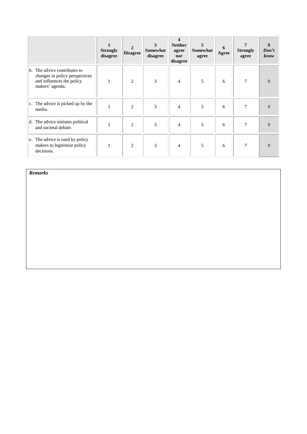|    |                                                                                                             | <b>Strongly</b><br>disagree | $\overline{2}$<br><b>Disagree</b> | 3<br>Somewhat<br>disagree | 4<br><b>Neither</b><br>agree<br>nor<br>disagree | 5<br>Somewhat<br>agree | 6<br>Agree | 7<br><b>Strongly</b><br>agree | 9<br>Don't<br>know |
|----|-------------------------------------------------------------------------------------------------------------|-----------------------------|-----------------------------------|---------------------------|-------------------------------------------------|------------------------|------------|-------------------------------|--------------------|
| b. | The advice contributes to<br>changes in policy perspectives<br>and influences the policy<br>makers' agenda. | 1                           | 2                                 | 3                         | $\overline{4}$                                  | 5                      | 6          | 7                             | 9                  |
|    | c. The advice is picked up by the<br>media.                                                                 |                             | $\overline{2}$                    | 3                         | 4                                               | 5                      | 6          | 7                             | 9                  |
|    | d. The advice initiates political<br>and societal debate.                                                   |                             | $\overline{2}$                    | 3                         | $\overline{4}$                                  | 5                      | 6          | 7                             | 9                  |
|    | e. The advice is used by policy<br>makers to legitimize policy<br>decisions.                                |                             | $\overline{c}$                    | 3                         | $\overline{4}$                                  | 5                      | 6          | 7                             | 9                  |